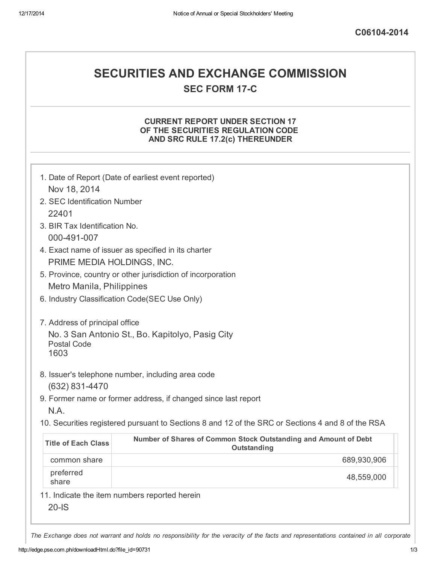## SECURITIES AND EXCHANGE COMMISSION **SEC FORM 17-C**

### CURRENT REPORT UNDER SECTION 17 OF THE SECURITIES REGULATION CODE AND SRC RULE 17.2(c) THEREUNDER

|                                | 1. Date of Report (Date of earliest event reported)                                               |
|--------------------------------|---------------------------------------------------------------------------------------------------|
| Nov 18, 2014                   |                                                                                                   |
| 2. SEC Identification Number   |                                                                                                   |
| 22401                          |                                                                                                   |
| 3. BIR Tax Identification No.  |                                                                                                   |
| 000-491-007                    |                                                                                                   |
|                                | 4. Exact name of issuer as specified in its charter                                               |
| PRIME MEDIA HOLDINGS, INC.     |                                                                                                   |
|                                | 5. Province, country or other jurisdiction of incorporation                                       |
| Metro Manila, Philippines      |                                                                                                   |
|                                | 6. Industry Classification Code(SEC Use Only)                                                     |
| 7. Address of principal office |                                                                                                   |
|                                | No. 3 San Antonio St., Bo. Kapitolyo, Pasig City                                                  |
| <b>Postal Code</b>             |                                                                                                   |
| 1603                           |                                                                                                   |
|                                | 8. Issuer's telephone number, including area code                                                 |
| (632) 831-4470                 |                                                                                                   |
|                                | 9. Former name or former address, if changed since last report                                    |
| N.A.                           |                                                                                                   |
|                                | 10. Securities registered pursuant to Sections 8 and 12 of the SRC or Sections 4 and 8 of the RSA |
| <b>Title of Each Class</b>     | Number of Shares of Common Stock Outstanding and Amount of Debt<br>Outstanding                    |
| common share                   | 689,930,906                                                                                       |
| preferred<br>share             | 48,559,000                                                                                        |
|                                | 11. Indicate the item numbers reported herein                                                     |
| $20-IS$                        |                                                                                                   |

The Exchange does not warrant and holds no responsibility for the veracity of the facts and representations contained in all corporate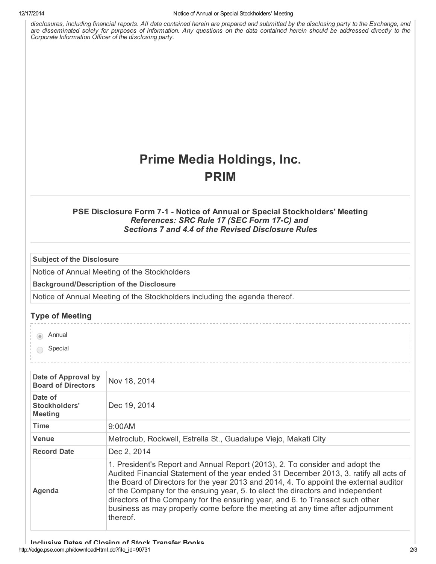disclosures, including financial reports. All data contained herein are prepared and submitted by the disclosing party to the Exchange, and are disseminated solely for purposes of information. Any questions on the data contained herein should be addressed directly to the *Corporate Information Officer of the disclosing party.*

# Prime Media Holdings, Inc. PRIM

#### PSE Disclosure Form 7-1 - Notice of Annual or Special Stockholders' Meeting *References: SRC Rule 17 (SEC Form 17C) and Sections 7 and 4.4 of the Revised Disclosure Rules*

Subject of the Disclosure

Notice of Annual Meeting of the Stockholders

Background/Description of the Disclosure

Notice of Annual Meeting of the Stockholders including the agenda thereof.

#### Type of Meeting

a Annual

◯ Special

| Date of Approval by<br><b>Board of Directors</b> | Nov 18, 2014                                                                                                                                                                                                                                                                                                                                                                                                                                                                                                                    |
|--------------------------------------------------|---------------------------------------------------------------------------------------------------------------------------------------------------------------------------------------------------------------------------------------------------------------------------------------------------------------------------------------------------------------------------------------------------------------------------------------------------------------------------------------------------------------------------------|
| Date of<br>Stockholders'<br><b>Meeting</b>       | Dec 19, 2014                                                                                                                                                                                                                                                                                                                                                                                                                                                                                                                    |
| <b>Time</b>                                      | 9:00AM                                                                                                                                                                                                                                                                                                                                                                                                                                                                                                                          |
| <b>Venue</b>                                     | Metroclub, Rockwell, Estrella St., Guadalupe Viejo, Makati City                                                                                                                                                                                                                                                                                                                                                                                                                                                                 |
| <b>Record Date</b>                               | Dec 2, 2014                                                                                                                                                                                                                                                                                                                                                                                                                                                                                                                     |
| Agenda                                           | 1. President's Report and Annual Report (2013), 2. To consider and adopt the<br>Audited Financial Statement of the year ended 31 December 2013, 3. ratify all acts of<br>the Board of Directors for the year 2013 and 2014, 4. To appoint the external auditor<br>of the Company for the ensuing year, 5. to elect the directors and independent<br>directors of the Company for the ensuring year, and 6. to Transact such other<br>business as may properly come before the meeting at any time after adjournment<br>thereof. |